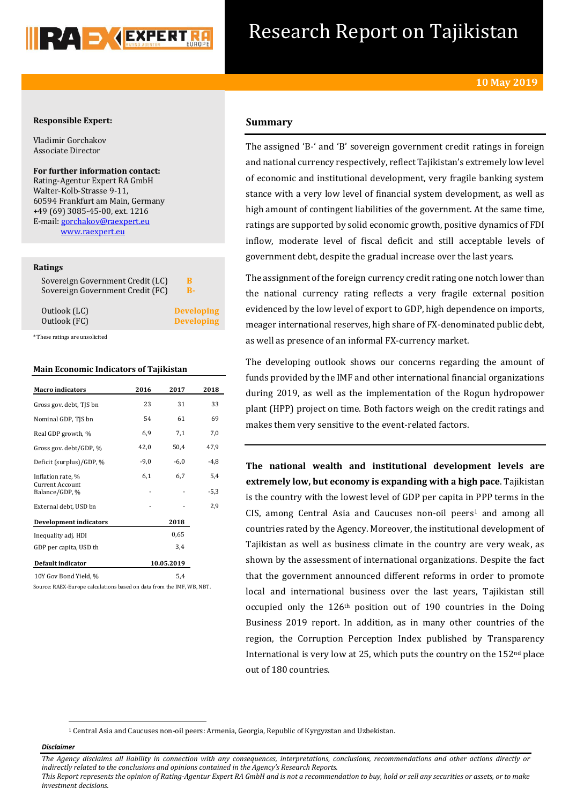

# Research Report on Tajikistan

# **Responsible Expert:**

Vladimir Gorchakov Associate Director

**For further information contact:** Rating-Agentur Expert RA GmbH Walter-Kolb-Strasse 9-11, 60594 Frankfurt am Main, Germany +49 (69) 3085-45-00, ext. 1216 E-mail[: gorchakov@raexpert.eu](mailto:gorchakov@raexpert.eu)  [www.raexpert.eu](http://raexpert.eu/)

### **Ratings**

| Sovereign Government Credit (LC)<br>Sovereign Government Credit (FC) | R-                |  |
|----------------------------------------------------------------------|-------------------|--|
| Outlook (LC)                                                         | <b>Developing</b> |  |
| Outlook (FC)                                                         | <b>Developing</b> |  |

\* These ratings are unsolicited

## **Main Economic Indicators of Tajikistan**

| <b>Macro</b> indicators                  | 2016   | 2017       | 2018   |
|------------------------------------------|--------|------------|--------|
| Gross gov. debt, TJS bn                  | 23     | 31         | 33     |
| Nominal GDP, TJS bn                      | 54     | 61         | 69     |
| Real GDP growth, %                       | 6,9    | 7,1        | 7,0    |
| Gross gov. debt/GDP, %                   | 42,0   | 50,4       | 47,9   |
| Deficit (surplus)/GDP, %                 | $-9,0$ | $-6,0$     | $-4,8$ |
| Inflation rate, %                        | 6,1    | 6,7        | 5,4    |
| <b>Current Account</b><br>Balance/GDP, % |        |            | $-5,3$ |
| External debt, USD bn                    |        |            | 2,9    |
| <b>Development indicators</b>            |        | 2018       |        |
| Inequality adj. HDI                      |        | 0.65       |        |
| GDP per capita, USD th                   | 3,4    |            |        |
| Default indicator                        |        | 10.05.2019 |        |
| 10Y Gov Bond Yield, %                    |        | 5,4        |        |

Source: RAEX-Europe calculations based on data from the IMF, WB, NBT.

# **Summary**

The assigned 'B-' and 'B' sovereign government credit ratings in foreign and national currency respectively, reflect Tajikistan's extremely low level of economic and institutional development, very fragile banking system stance with a very low level of financial system development, as well as high amount of contingent liabilities of the government. At the same time, ratings are supported by solid economic growth, positive dynamics of FDI inflow, moderate level of fiscal deficit and still acceptable levels of government debt, despite the gradual increase over the last years.

The assignment of the foreign currency credit rating one notch lower than the national currency rating reflects a very fragile external position evidenced by the low level of export to GDP, high dependence on imports, meager international reserves, high share of FX-denominated public debt, as well as presence of an informal FX-currency market.

The developing outlook shows our concerns regarding the amount of funds provided by the IMF and other international financial organizations during 2019, as well as the implementation of the Rogun hydropower plant (HPP) project on time. Both factors weigh on the credit ratings and makes them very sensitive to the event-related factors.

**The national wealth and institutional development levels are extremely low, but economy is expanding with a high pace**. Tajikistan is the country with the lowest level of GDP per capita in PPP terms in the CIS, among Central Asia and Caucuses non-oil peers<sup>1</sup> and among all countries rated by the Agency. Moreover, the institutional development of Tajikistan as well as business climate in the country are very weak, as shown by the assessment of international organizations. Despite the fact that the government announced different reforms in order to promote local and international business over the last years, Tajikistan still occupied only the 126th position out of 190 countries in the Doing Business 2019 report. In addition, as in many other countries of the region, the Corruption Perception Index published by Transparency International is very low at 25, which puts the country on the  $152<sup>nd</sup>$  place out of 180 countries.

<sup>1</sup> Central Asia and Caucuses non-oil peers: Armenia, Georgia, Republic of Kyrgyzstan and Uzbekistan.

### *Disclaimer*

1

*The Agency disclaims all liability in connection with any consequences, interpretations, conclusions, recommendations and other actions directly or indirectly related to the conclusions and opinions contained in the Agency's Research Reports.*

*This Report represents the opinion of Rating-Agentur Expert RA GmbH and is not a recommendation to buy, hold or sell any securities or assets, or to make investment decisions.*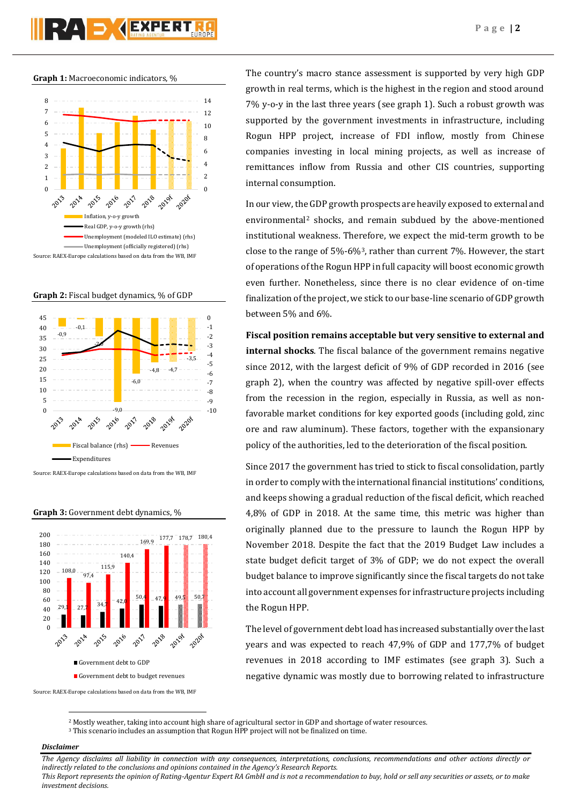# RA DYEXPERT

**Graph 1:** Macroeconomic indicators, %



**Graph 2:** Fiscal budget dynamics, % of GDP



Source: RAEX-Europe calculations based on data from the WB, IMF

**Graph 3:** Government debt dynamics, %



Source: RAEX-Europe calculations based on data from the WB, IMF

The country's macro stance assessment is supported by very high GDP growth in real terms, which is the highest in the region and stood around 7% y-o-y in the last three years (see graph 1). Such a robust growth was supported by the government investments in infrastructure, including Rogun HPP project, increase of FDI inflow, mostly from Chinese companies investing in local mining projects, as well as increase of remittances inflow from Russia and other CIS countries, supporting internal consumption.

In our view, the GDP growth prospects are heavily exposed to external and environmental<sup>2</sup> shocks, and remain subdued by the above-mentioned institutional weakness. Therefore, we expect the mid-term growth to be close to the range of 5%-6%3, rather than current 7%. However, the start of operations of the Rogun HPP in full capacity will boost economic growth even further. Nonetheless, since there is no clear evidence of on-time finalization of the project, we stick to our base-line scenario of GDP growth between 5% and 6%.

**Fiscal position remains acceptable but very sensitive to external and internal shocks**. The fiscal balance of the government remains negative since 2012, with the largest deficit of 9% of GDP recorded in 2016 (see graph 2), when the country was affected by negative spill-over effects from the recession in the region, especially in Russia, as well as nonfavorable market conditions for key exported goods (including gold, zinc ore and raw aluminum). These factors, together with the expansionary policy of the authorities, led to the deterioration of the fiscal position.

Since 2017 the government has tried to stick to fiscal consolidation, partly in order to comply with the international financial institutions' conditions, and keeps showing a gradual reduction of the fiscal deficit, which reached 4,8% of GDP in 2018. At the same time, this metric was higher than originally planned due to the pressure to launch the Rogun HPP by November 2018. Despite the fact that the 2019 Budget Law includes a state budget deficit target of 3% of GDP; we do not expect the overall budget balance to improve significantly since the fiscal targets do not take into account all government expenses for infrastructure projects including the Rogun HPP.

The level of government debt load has increased substantially over the last years and was expected to reach 47,9% of GDP and 177,7% of budget revenues in 2018 according to IMF estimates (see graph 3). Such a negative dynamic was mostly due to borrowing related to infrastructure

<sup>3</sup> This scenario includes an assumption that Rogun HPP project will not be finalized on time.

## *Disclaimer*

 $\overline{a}$ 

*The Agency disclaims all liability in connection with any consequences, interpretations, conclusions, recommendations and other actions directly or indirectly related to the conclusions and opinions contained in the Agency's Research Reports.*

*This Report represents the opinion of Rating-Agentur Expert RA GmbH and is not a recommendation to buy, hold or sell any securities or assets, or to make investment decisions.*

<sup>2</sup> Mostly weather, taking into account high share of agricultural sector in GDP and shortage of water resources.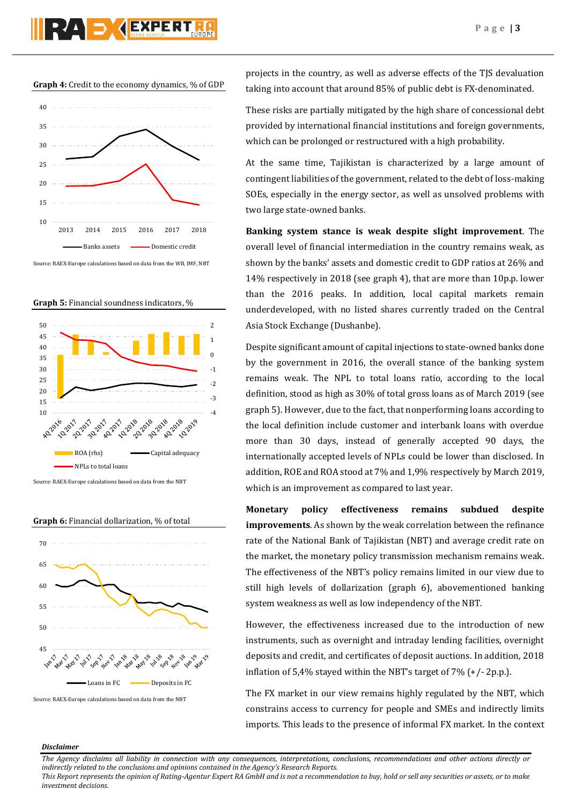

**Graph 4:** Credit to the economy dynamics, % of GDP



Source: RAEX-Europe calculations based on data from the WB, IMF, NBT

**Graph 5:** Financial soundness indicators, %



Source: RAEX-Europe calculations based on data from the NBT



Source: RAEX-Europe calculations based on data from the NBT

projects in the country, as well as adverse effects of the TJS devaluation taking into account that around 85% of public debt is FX-denominated.

These risks are partially mitigated by the high share of concessional debt provided by international financial institutions and foreign governments, which can be prolonged or restructured with a high probability.

At the same time, Tajikistan is characterized by a large amount of contingent liabilities of the government, related to the debt of loss-making SOEs, especially in the energy sector, as well as unsolved problems with two large state-owned banks.

**Banking system stance is weak despite slight improvement**. The overall level of financial intermediation in the country remains weak, as shown by the banks' assets and domestic credit to GDP ratios at 26% and 14% respectively in 2018 (see graph 4), that are more than 10p.p. lower than the 2016 peaks. In addition, local capital markets remain underdeveloped, with no listed shares currently traded on the Central Asia Stock Exchange (Dushanbe).

Despite significant amount of capital injections to state-owned banks done by the government in 2016, the overall stance of the banking system remains weak. The NPL to total loans ratio, according to the local definition, stood as high as 30% of total gross loans as of March 2019 (see graph 5). However, due to the fact, that nonperforming loans according to the local definition include customer and interbank loans with overdue more than 30 days, instead of generally accepted 90 days, the internationally accepted levels of NPLs could be lower than disclosed. In addition, ROE and ROA stood at 7% and 1,9% respectively by March 2019, which is an improvement as compared to last year.

**Monetary policy effectiveness remains subdued despite improvements**. As shown by the weak correlation between the refinance rate of the National Bank of Tajikistan (NBT) and average credit rate on the market, the monetary policy transmission mechanism remains weak. The effectiveness of the NBT's policy remains limited in our view due to still high levels of dollarization (graph 6), abovementioned banking system weakness as well as low independency of the NBT.

However, the effectiveness increased due to the introduction of new instruments, such as overnight and intraday lending facilities, overnight deposits and credit, and certificates of deposit auctions. In addition, 2018 inflation of 5,4% stayed within the NBT's target of 7% (+/- 2p.p.).

The FX market in our view remains highly regulated by the NBT, which constrains access to currency for people and SMEs and indirectly limits imports. This leads to the presence of informal FX market. In the context

### *Disclaimer*

*The Agency disclaims all liability in connection with any consequences, interpretations, conclusions, recommendations and other actions directly or indirectly related to the conclusions and opinions contained in the Agency's Research Reports.*

*This Report represents the opinion of Rating-Agentur Expert RA GmbH and is not a recommendation to buy, hold or sell any securities or assets, or to make investment decisions.*